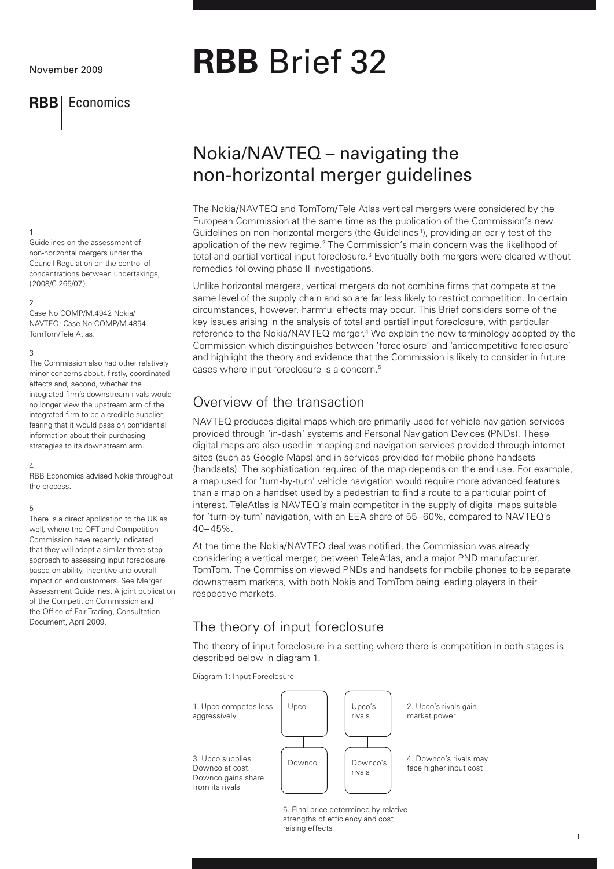## November 2009

## **RBB** Economics

## 1

Guidelines on the assessment of non-horizontal mergers under the Council Regulation on the control of concentrations between undertakings, (2008/C 265/07).

## $\mathcal{D}$

Case No COMP/M.4942 Nokia/ NAVTEQ; Case No COMP/M.4854 TomTom/Tele Atlas.

#### 3

The Commission also had other relatively minor concerns about, firstly, coordinated effects and, second, whether the integrated firm's downstream rivals would no longer view the upstream arm of the integrated firm to be a credible supplier fearing that it would pass on confidential information about their purchasing strategies to its downstream arm.

### 4

RBB Economics advised Nokia throughout the process.

#### 5

There is a direct application to the UK as well, where the OFT and Competition Commission have recently indicated that they will adopt a similar three step approach to assessing input foreclosure based on ability, incentive and overall impact on end customers. See Merger Assessment Guidelines, A joint publication of the Competition Commission and the Office of Fair Trading, Consultation Document, April 2009.

# **RBB** Brief 32

# Nokia/NAVTEQ – navigating the non-horizontal merger guidelines

The Nokia/NAVTEQ and TomTom/Tele Atlas vertical mergers were considered by the European Commission at the same time as the publication of the Commission's new Guidelines on non-horizontal mergers (the Guidelines<sup>1</sup>), providing an early test of the application of the new regime.<sup>2</sup> The Commission's main concern was the likelihood of total and partial vertical input foreclosure.<sup>3</sup> Eventually both mergers were cleared without remedies following phase II investigations.

Unlike horizontal mergers, vertical mergers do not combine firms that compete at the same level of the supply chain and so are far less likely to restrict competition. In certain circumstances, however, harmful effects may occur. This Brief considers some of the key issues arising in the analysis of total and partial input foreclosure, with particular reference to the Nokia/NAVTEQ merger.<sup>4</sup> We explain the new terminology adopted by the Commission which distinguishes between 'foreclosure' and 'anticompetitive foreclosure' and highlight the theory and evidence that the Commission is likely to consider in future cases where input foreclosure is a concern.5

## Overview of the transaction

NAVTEQ produces digital maps which are primarily used for vehicle navigation services provided through 'in-dash' systems and Personal Navigation Devices (PNDs). These digital maps are also used in mapping and navigation services provided through internet sites (such as Google Maps) and in services provided for mobile phone handsets (handsets). The sophistication required of the map depends on the end use. For example, a map used for 'turn-by-turn' vehicle navigation would require more advanced features than a map on a handset used by a pedestrian to find a route to a particular point of interest. TeleAtlas is NAVTEQ's main competitor in the supply of digital maps suitable for 'turn-by-turn' navigation, with an EEA share of 55–60%, compared to NAVTEQ's 40–45%.

At the time the Nokia/NAVTEQ deal was notified, the Commission was already considering a vertical merger, between TeleAtlas, and a major PND manufacturer, TomTom. The Commission viewed PNDs and handsets for mobile phones to be separate downstream markets, with both Nokia and TomTom being leading players in their respective markets.

## The theory of input foreclosure

The theory of input foreclosure in a setting where there is competition in both stages is described below in diagram 1.

Diagram 1: Input Foreclosure



5. Final price determined by relative strengths of efficiency and cost raising effects

1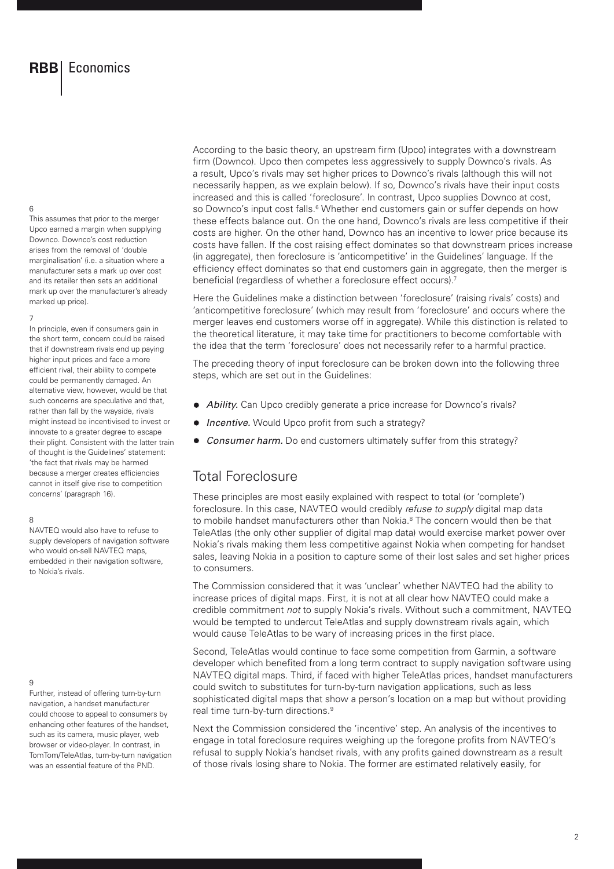## 6

This assumes that prior to the merger Upco earned a margin when supplying Downco. Downco's cost reduction arises from the removal of 'double marginalisation' (i.e. a situation where a manufacturer sets a mark up over cost and its retailer then sets an additional mark up over the manufacturer's already marked up price).

#### 7

In principle, even if consumers gain in the short term, concern could be raised that if downstream rivals end up paying higher input prices and face a more efficient rival, their ability to compete could be permanently damaged. An alternative view, however, would be that such concerns are speculative and that, rather than fall by the wayside, rivals might instead be incentivised to invest or innovate to a greater degree to escape their plight. Consistent with the latter train of thought is the Guidelines' statement: 'the fact that rivals may be harmed because a merger creates efficiencies cannot in itself give rise to competition concerns' (paragraph 16).

#### 8

NAVTEQ would also have to refuse to supply developers of navigation software who would on-sell NAVTEQ maps. embedded in their navigation software, to Nokia's rivals.

## $\overline{Q}$

Further, instead of offering turn-by-turn navigation, a handset manufacturer could choose to appeal to consumers by enhancing other features of the handset, such as its camera, music player, web browser or video-player. In contrast, in TomTom/TeleAtlas, turn-by-turn navigation was an essential feature of the PND.

According to the basic theory, an upstream firm (Upco) integrates with a downstream firm (Downco). Upco then competes less aggressively to supply Downco's rivals. As a result, Upco's rivals may set higher prices to Downco's rivals (although this will not necessarily happen, as we explain below). If so, Downco's rivals have their input costs increased and this is called 'foreclosure'. In contrast, Upco supplies Downco at cost, so Downco's input cost falls.<sup>6</sup> Whether end customers gain or suffer depends on how these effects balance out. On the one hand, Downco's rivals are less competitive if their costs are higher. On the other hand, Downco has an incentive to lower price because its costs have fallen. If the cost raising effect dominates so that downstream prices increase (in aggregate), then foreclosure is 'anticompetitive' in the Guidelines' language. If the efficiency effect dominates so that end customers gain in aggregate, then the merger is beneficial (regardless of whether a foreclosure effect occurs).7

Here the Guidelines make a distinction between 'foreclosure' (raising rivals' costs) and 'anticompetitive foreclosure' (which may result from 'foreclosure' and occurs where the merger leaves end customers worse off in aggregate). While this distinction is related to the theoretical literature, it may take time for practitioners to become comfortable with the idea that the term 'foreclosure' does not necessarily refer to a harmful practice.

The preceding theory of input foreclosure can be broken down into the following three steps, which are set out in the Guidelines:

- *Ability.* Can Upco credibly generate a price increase for Downco's rivals?
- *Incentive.* Would Upco profit from such a strategy?
- *Consumer harm.* Do end customers ultimately suffer from this strategy?

## Total Foreclosure

These principles are most easily explained with respect to total (or 'complete') foreclosure. In this case, NAVTEQ would credibly *refuse to supply* digital map data to mobile handset manufacturers other than Nokia.<sup>8</sup> The concern would then be that TeleAtlas (the only other supplier of digital map data) would exercise market power over Nokia's rivals making them less competitive against Nokia when competing for handset sales, leaving Nokia in a position to capture some of their lost sales and set higher prices to consumers.

The Commission considered that it was 'unclear' whether NAVTEQ had the ability to increase prices of digital maps. First, it is not at all clear how NAVTEQ could make a credible commitment *not* to supply Nokia's rivals. Without such a commitment, NAVTEQ would be tempted to undercut TeleAtlas and supply downstream rivals again, which would cause TeleAtlas to be wary of increasing prices in the first place.

Second, TeleAtlas would continue to face some competition from Garmin, a software developer which benefited from a long term contract to supply navigation software using NAVTEQ digital maps. Third, if faced with higher TeleAtlas prices, handset manufacturers could switch to substitutes for turn-by-turn navigation applications, such as less sophisticated digital maps that show a person's location on a map but without providing real time turn-by-turn directions.<sup>9</sup>

Next the Commission considered the 'incentive' step. An analysis of the incentives to engage in total foreclosure requires weighing up the foregone profits from NAVTEQ's refusal to supply Nokia's handset rivals, with any profits gained downstream as a result of those rivals losing share to Nokia. The former are estimated relatively easily, for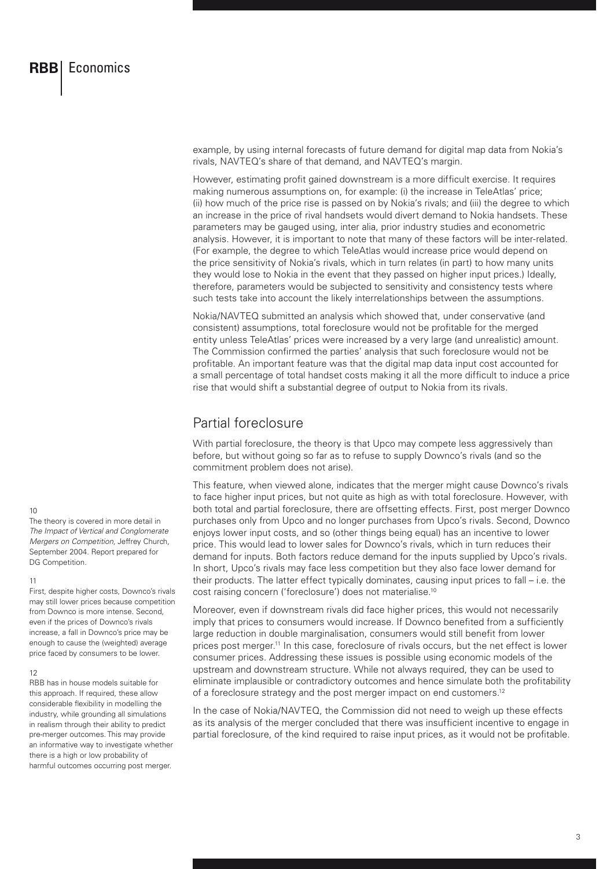example, by using internal forecasts of future demand for digital map data from Nokia's rivals, NAVTEQ's share of that demand, and NAVTEQ's margin.

However, estimating profit gained downstream is a more difficult exercise. It requires making numerous assumptions on, for example: (i) the increase in TeleAtlas' price; (ii) how much of the price rise is passed on by Nokia's rivals; and (iii) the degree to which an increase in the price of rival handsets would divert demand to Nokia handsets. These parameters may be gauged using, inter alia, prior industry studies and econometric analysis. However, it is important to note that many of these factors will be inter-related. (For example, the degree to which TeleAtlas would increase price would depend on the price sensitivity of Nokia's rivals, which in turn relates (in part) to how many units they would lose to Nokia in the event that they passed on higher input prices.) Ideally, therefore, parameters would be subjected to sensitivity and consistency tests where such tests take into account the likely interrelationships between the assumptions.

Nokia/NAVTEQ submitted an analysis which showed that, under conservative (and consistent) assumptions, total foreclosure would not be profitable for the merged entity unless TeleAtlas' prices were increased by a very large (and unrealistic) amount. The Commission confirmed the parties' analysis that such foreclosure would not be profitable. An important feature was that the digital map data input cost accounted for a small percentage of total handset costs making it all the more difficult to induce a price rise that would shift a substantial degree of output to Nokia from its rivals.

## Partial foreclosure

With partial foreclosure, the theory is that Upco may compete less aggressively than before, but without going so far as to refuse to supply Downco's rivals (and so the commitment problem does not arise).

This feature, when viewed alone, indicates that the merger might cause Downco's rivals to face higher input prices, but not quite as high as with total foreclosure. However, with both total and partial foreclosure, there are offsetting effects. First, post merger Downco purchases only from Upco and no longer purchases from Upco's rivals. Second, Downco enjoys lower input costs, and so (other things being equal) has an incentive to lower price. This would lead to lower sales for Downco's rivals, which in turn reduces their demand for inputs. Both factors reduce demand for the inputs supplied by Upco's rivals. In short, Upco's rivals may face less competition but they also face lower demand for their products. The latter effect typically dominates, causing input prices to fall – i.e. the cost raising concern ('foreclosure') does not materialise.10

Moreover, even if downstream rivals did face higher prices, this would not necessarily imply that prices to consumers would increase. If Downco benefited from a sufficiently large reduction in double marginalisation, consumers would still benefit from lower prices post merger.11 In this case, foreclosure of rivals occurs, but the net effect is lower consumer prices. Addressing these issues is possible using economic models of the upstream and downstream structure. While not always required, they can be used to eliminate implausible or contradictory outcomes and hence simulate both the profitability of a foreclosure strategy and the post merger impact on end customers.12

In the case of Nokia/NAVTEQ, the Commission did not need to weigh up these effects as its analysis of the merger concluded that there was insufficient incentive to engage in partial foreclosure, of the kind required to raise input prices, as it would not be profitable.

 $1<sub>0</sub>$ 

The theory is covered in more detail in *The Impact of Vertical and Conglomerate Mergers on Competition,* Jeffrey Church, September 2004. Report prepared for DG Competition.

## 11

First, despite higher costs, Downco's rivals may still lower prices because competition from Downco is more intense. Second, even if the prices of Downco's rivals increase, a fall in Downco's price may be enough to cause the (weighted) average price faced by consumers to be lower.

### 12

RBB has in house models suitable for this approach. If required, these allow considerable flexibility in modelling the industry, while grounding all simulations in realism through their ability to predict pre-merger outcomes. This may provide an informative way to investigate whether there is a high or low probability of harmful outcomes occurring post merger.